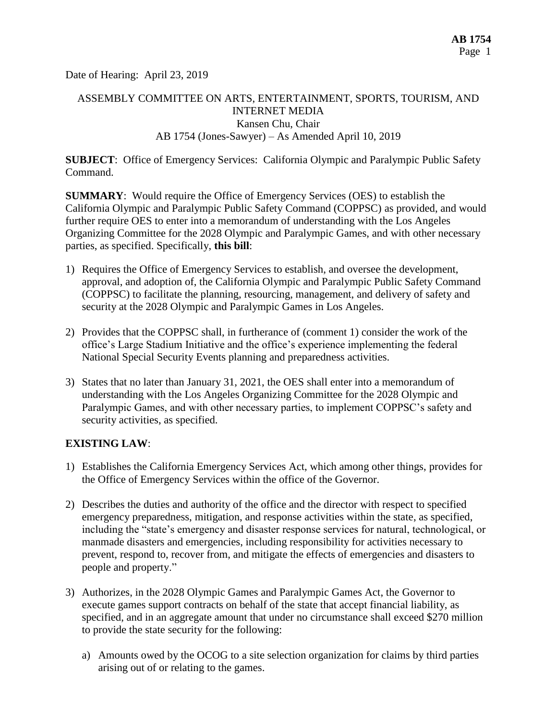Date of Hearing: April 23, 2019

# ASSEMBLY COMMITTEE ON ARTS, ENTERTAINMENT, SPORTS, TOURISM, AND INTERNET MEDIA Kansen Chu, Chair AB 1754 (Jones-Sawyer) – As Amended April 10, 2019

**SUBJECT**: Office of Emergency Services: California Olympic and Paralympic Public Safety Command.

**SUMMARY**: Would require the Office of Emergency Services (OES) to establish the California Olympic and Paralympic Public Safety Command (COPPSC) as provided, and would further require OES to enter into a memorandum of understanding with the Los Angeles Organizing Committee for the 2028 Olympic and Paralympic Games, and with other necessary parties, as specified. Specifically, **this bill**:

- 1) Requires the Office of Emergency Services to establish, and oversee the development, approval, and adoption of, the California Olympic and Paralympic Public Safety Command (COPPSC) to facilitate the planning, resourcing, management, and delivery of safety and security at the 2028 Olympic and Paralympic Games in Los Angeles.
- 2) Provides that the COPPSC shall, in furtherance of (comment 1) consider the work of the office's Large Stadium Initiative and the office's experience implementing the federal National Special Security Events planning and preparedness activities.
- 3) States that no later than January 31, 2021, the OES shall enter into a memorandum of understanding with the Los Angeles Organizing Committee for the 2028 Olympic and Paralympic Games, and with other necessary parties, to implement COPPSC's safety and security activities, as specified.

## **EXISTING LAW**:

- 1) Establishes the California Emergency Services Act, which among other things, provides for the Office of Emergency Services within the office of the Governor.
- 2) Describes the duties and authority of the office and the director with respect to specified emergency preparedness, mitigation, and response activities within the state, as specified, including the "state's emergency and disaster response services for natural, technological, or manmade disasters and emergencies, including responsibility for activities necessary to prevent, respond to, recover from, and mitigate the effects of emergencies and disasters to people and property."
- 3) Authorizes, in the 2028 Olympic Games and Paralympic Games Act, the Governor to execute games support contracts on behalf of the state that accept financial liability, as specified, and in an aggregate amount that under no circumstance shall exceed \$270 million to provide the state security for the following:
	- a) Amounts owed by the OCOG to a site selection organization for claims by third parties arising out of or relating to the games.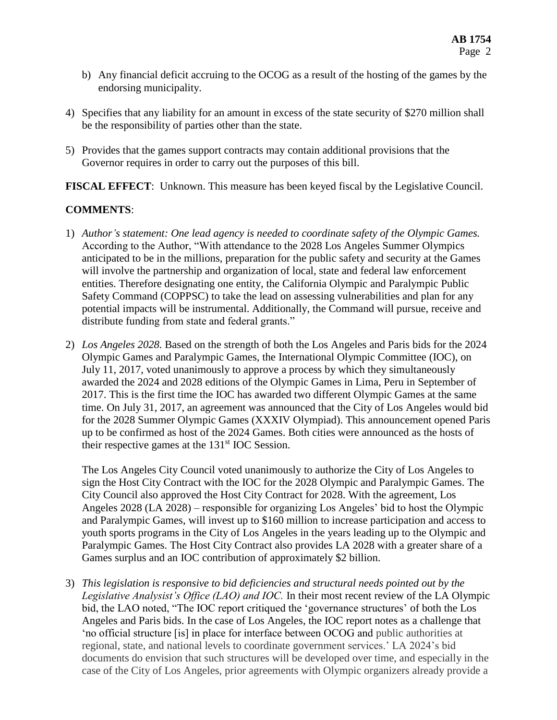- b) Any financial deficit accruing to the OCOG as a result of the hosting of the games by the endorsing municipality.
- 4) Specifies that any liability for an amount in excess of the state security of \$270 million shall be the responsibility of parties other than the state.
- 5) Provides that the games support contracts may contain additional provisions that the Governor requires in order to carry out the purposes of this bill.

**FISCAL EFFECT**: Unknown. This measure has been keyed fiscal by the Legislative Council.

## **COMMENTS**:

- 1) *Author's statement: One lead agency is needed to coordinate safety of the Olympic Games.* According to the Author, "With attendance to the 2028 Los Angeles Summer Olympics anticipated to be in the millions, preparation for the public safety and security at the Games will involve the partnership and organization of local, state and federal law enforcement entities. Therefore designating one entity, the California Olympic and Paralympic Public Safety Command (COPPSC) to take the lead on assessing vulnerabilities and plan for any potential impacts will be instrumental. Additionally, the Command will pursue, receive and distribute funding from state and federal grants."
- 2) *Los Angeles 2028.* Based on the strength of both the Los Angeles and Paris bids for the 2024 Olympic Games and Paralympic Games, the International Olympic Committee (IOC), on July 11, 2017, voted unanimously to approve a process by which they simultaneously awarded the 2024 and 2028 editions of the Olympic Games in Lima, Peru in September of 2017. This is the first time the IOC has awarded two different Olympic Games at the same time. On July 31, 2017, an agreement was announced that the City of Los Angeles would bid for the 2028 Summer Olympic Games (XXXIV Olympiad). This announcement opened Paris up to be confirmed as host of the 2024 Games. Both cities were announced as the hosts of their respective games at the  $131<sup>st</sup>$  IOC Session.

The Los Angeles City Council voted unanimously to authorize the City of Los Angeles to sign the Host City Contract with the IOC for the 2028 Olympic and Paralympic Games. The City Council also approved the Host City Contract for 2028. With the agreement, Los Angeles 2028 (LA 2028) – responsible for organizing Los Angeles' bid to host the Olympic and Paralympic Games, will invest up to \$160 million to increase participation and access to youth sports programs in the City of Los Angeles in the years leading up to the Olympic and Paralympic Games. The Host City Contract also provides LA 2028 with a greater share of a Games surplus and an IOC contribution of approximately \$2 billion.

3) *This legislation is responsive to bid deficiencies and structural needs pointed out by the Legislative Analysist's Office (LAO) and IOC.* In their most recent review of the LA Olympic bid, the LAO noted, "The IOC report critiqued the 'governance structures' of both the Los Angeles and Paris bids. In the case of Los Angeles, the IOC report notes as a challenge that 'no official structure [is] in place for interface between OCOG and public authorities at regional, state, and national levels to coordinate government services.' LA 2024's bid documents do envision that such structures will be developed over time, and especially in the case of the City of Los Angeles, prior agreements with Olympic organizers already provide a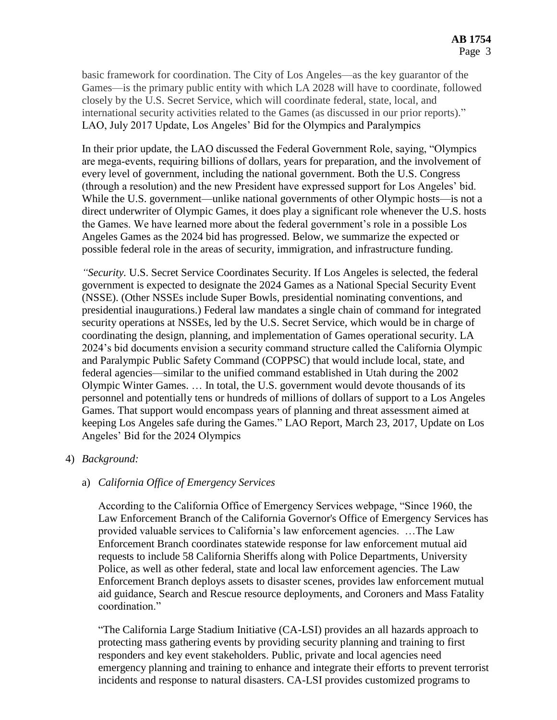basic framework for coordination. The City of Los Angeles—as the key guarantor of the Games—is the primary public entity with which LA 2028 will have to coordinate, followed closely by the U.S. Secret Service, which will coordinate federal, state, local, and international security activities related to the Games (as discussed in our prior reports)." LAO, July 2017 Update, Los Angeles' Bid for the Olympics and Paralympics

In their prior update, the LAO discussed the Federal Government Role, saying, "Olympics are mega‑events, requiring billions of dollars, years for preparation, and the involvement of every level of government, including the national government. Both the U.S. Congress (through a resolution) and the new President have expressed support for Los Angeles' bid. While the U.S. government—unlike national governments of other Olympic hosts—is not a direct underwriter of Olympic Games, it does play a significant role whenever the U.S. hosts the Games. We have learned more about the federal government's role in a possible Los Angeles Games as the 2024 bid has progressed. Below, we summarize the expected or possible federal role in the areas of security, immigration, and infrastructure funding.

*"Security.* U.S. Secret Service Coordinates Security. If Los Angeles is selected, the federal government is expected to designate the 2024 Games as a National Special Security Event (NSSE). (Other NSSEs include Super Bowls, presidential nominating conventions, and presidential inaugurations.) Federal law mandates a single chain of command for integrated security operations at NSSEs, led by the U.S. Secret Service, which would be in charge of coordinating the design, planning, and implementation of Games operational security. LA 2024's bid documents envision a security command structure called the California Olympic and Paralympic Public Safety Command (COPPSC) that would include local, state, and federal agencies—similar to the unified command established in Utah during the 2002 Olympic Winter Games. … In total, the U.S. government would devote thousands of its personnel and potentially tens or hundreds of millions of dollars of support to a Los Angeles Games. That support would encompass years of planning and threat assessment aimed at keeping Los Angeles safe during the Games." LAO Report, March 23, 2017, Update on Los Angeles' Bid for the 2024 Olympics

### 4) *Background:*

### a) *California Office of Emergency Services*

According to the California Office of Emergency Services webpage, "Since 1960, the Law Enforcement Branch of the California Governor's Office of Emergency Services has provided valuable services to California's law enforcement agencies. …The Law Enforcement Branch coordinates statewide response for law enforcement mutual aid requests to include 58 California Sheriffs along with Police Departments, University Police, as well as other federal, state and local law enforcement agencies. The Law Enforcement Branch deploys assets to disaster scenes, provides law enforcement mutual aid guidance, Search and Rescue resource deployments, and Coroners and Mass Fatality coordination."

"The California Large Stadium Initiative (CA-LSI) provides an all hazards approach to protecting mass gathering events by providing security planning and training to first responders and key event stakeholders. Public, private and local agencies need emergency planning and training to enhance and integrate their efforts to prevent terrorist incidents and response to natural disasters. CA-LSI provides customized programs to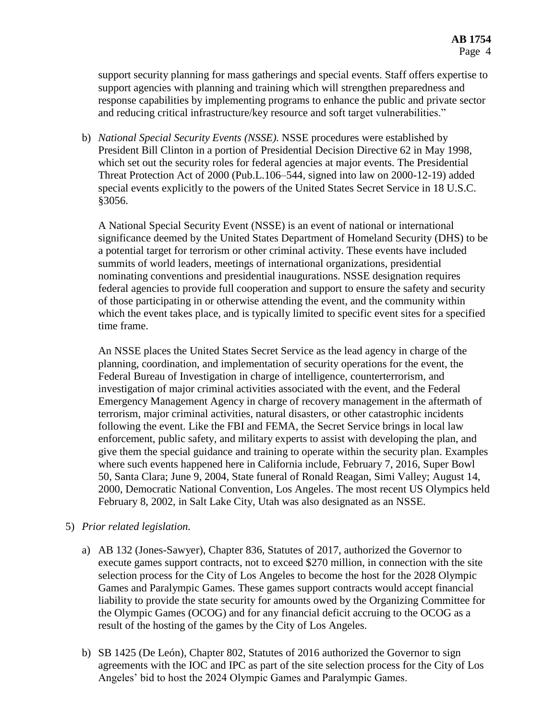support security planning for mass gatherings and special events. Staff offers expertise to support agencies with planning and training which will strengthen preparedness and response capabilities by implementing programs to enhance the public and private sector and reducing critical infrastructure/key resource and soft target vulnerabilities."

b) *National Special Security Events (NSSE).* NSSE procedures were established by President Bill Clinton in a portion of Presidential Decision Directive 62 in May 1998, which set out the security roles for federal agencies at major events. The Presidential Threat Protection Act of 2000 (Pub.L.106–544, signed into law on 2000-12-19) added special events explicitly to the powers of the United States Secret Service in 18 U.S.C. §3056.

A National Special Security Event (NSSE) is an event of national or international significance deemed by the United States Department of Homeland Security (DHS) to be a potential target for terrorism or other criminal activity. These events have included summits of world leaders, meetings of international organizations, presidential nominating conventions and presidential inaugurations. NSSE designation requires federal agencies to provide full cooperation and support to ensure the safety and security of those participating in or otherwise attending the event, and the community within which the event takes place, and is typically limited to specific event sites for a specified time frame.

An NSSE places the United States Secret Service as the lead agency in charge of the planning, coordination, and implementation of security operations for the event, the Federal Bureau of Investigation in charge of intelligence, counterterrorism, and investigation of major criminal activities associated with the event, and the Federal Emergency Management Agency in charge of recovery management in the aftermath of terrorism, major criminal activities, natural disasters, or other catastrophic incidents following the event. Like the FBI and FEMA, the Secret Service brings in local law enforcement, public safety, and military experts to assist with developing the plan, and give them the special guidance and training to operate within the security plan. Examples where such events happened here in California include, February 7, 2016, Super Bowl 50, Santa Clara; June 9, 2004, State funeral of Ronald Reagan, Simi Valley; August 14, 2000, Democratic National Convention, Los Angeles. The most recent US Olympics held February 8, 2002, in Salt Lake City, Utah was also designated as an NSSE.

### 5) *Prior related legislation.*

- a) AB 132 (Jones-Sawyer), Chapter 836, Statutes of 2017, authorized the Governor to execute games support contracts, not to exceed \$270 million, in connection with the site selection process for the City of Los Angeles to become the host for the 2028 Olympic Games and Paralympic Games. These games support contracts would accept financial liability to provide the state security for amounts owed by the Organizing Committee for the Olympic Games (OCOG) and for any financial deficit accruing to the OCOG as a result of the hosting of the games by the City of Los Angeles.
- b) SB 1425 (De León), Chapter 802, Statutes of 2016 authorized the Governor to sign agreements with the IOC and IPC as part of the site selection process for the City of Los Angeles' bid to host the 2024 Olympic Games and Paralympic Games.